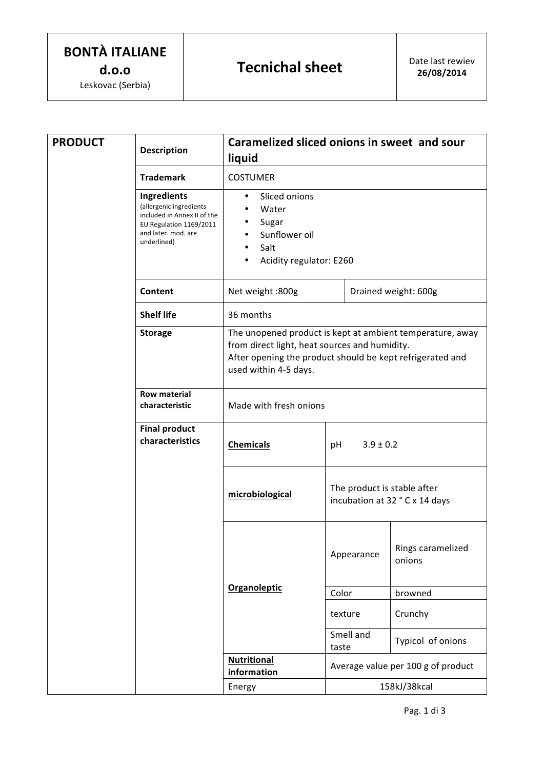| <b>PRODUCT</b> | <b>Description</b>                                                                                                                     | Caramelized sliced onions in sweet and sour<br>liquid                                                                                                                                            |                                                               |                             |  |  |
|----------------|----------------------------------------------------------------------------------------------------------------------------------------|--------------------------------------------------------------------------------------------------------------------------------------------------------------------------------------------------|---------------------------------------------------------------|-----------------------------|--|--|
|                | <b>Trademark</b>                                                                                                                       | <b>COSTUMER</b>                                                                                                                                                                                  |                                                               |                             |  |  |
|                | Ingredients<br>(allergenic ingredients<br>included in Annex II of the<br>EU Regulation 1169/2011<br>and later. mod. are<br>underlined) | Sliced onions<br>٠<br>Water<br>Sugar<br>Sunflower oil<br>Salt<br>Acidity regulator: E260                                                                                                         |                                                               |                             |  |  |
|                | Content                                                                                                                                | Net weight :800g                                                                                                                                                                                 | Drained weight: 600g                                          |                             |  |  |
|                | <b>Shelf life</b>                                                                                                                      | 36 months                                                                                                                                                                                        |                                                               |                             |  |  |
|                | <b>Storage</b>                                                                                                                         | The unopened product is kept at ambient temperature, away<br>from direct light, heat sources and humidity.<br>After opening the product should be kept refrigerated and<br>used within 4-5 days. |                                                               |                             |  |  |
|                | <b>Row material</b><br>characteristic                                                                                                  | Made with fresh onions                                                                                                                                                                           |                                                               |                             |  |  |
|                | <b>Final product</b><br>characteristics                                                                                                | <b>Chemicals</b>                                                                                                                                                                                 | $3.9 \pm 0.2$<br>рH                                           |                             |  |  |
|                |                                                                                                                                        | microbiological                                                                                                                                                                                  | The product is stable after<br>incubation at 32 ° C x 14 days |                             |  |  |
|                |                                                                                                                                        | <b>Organoleptic</b>                                                                                                                                                                              | Appearance                                                    | Rings caramelized<br>onions |  |  |
|                |                                                                                                                                        |                                                                                                                                                                                                  | Color                                                         | browned                     |  |  |
|                |                                                                                                                                        |                                                                                                                                                                                                  | texture                                                       | Crunchy                     |  |  |
|                |                                                                                                                                        |                                                                                                                                                                                                  | Smell and<br>taste                                            | Typicol of onions           |  |  |
|                |                                                                                                                                        | <b>Nutritional</b>                                                                                                                                                                               | Average value per 100 g of product                            |                             |  |  |
|                |                                                                                                                                        | information                                                                                                                                                                                      |                                                               |                             |  |  |
|                |                                                                                                                                        | Energy                                                                                                                                                                                           | 158kJ/38kcal                                                  |                             |  |  |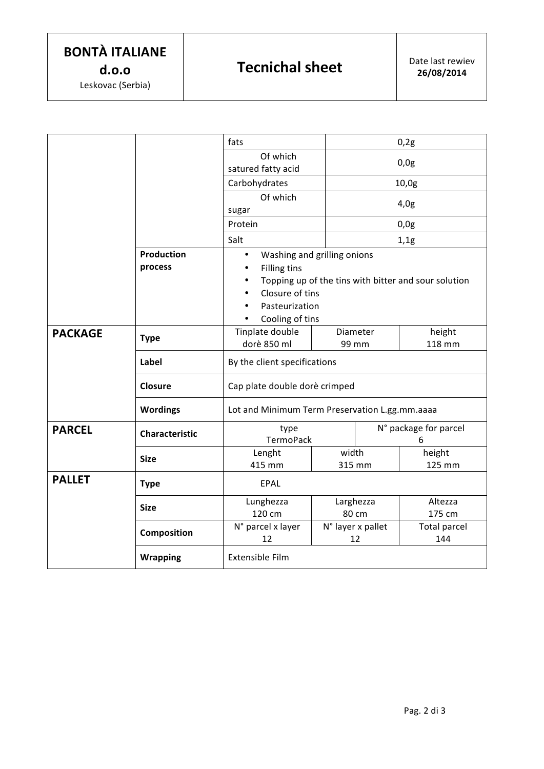|                |                       | fats                                                 |                         | 0,2g                  |                            |  |  |
|----------------|-----------------------|------------------------------------------------------|-------------------------|-----------------------|----------------------------|--|--|
|                |                       | Of which<br>satured fatty acid                       |                         | 0,0g                  |                            |  |  |
|                |                       | Carbohydrates                                        |                         | 10,0g                 |                            |  |  |
|                |                       | Of which<br>sugar                                    |                         | 4,0g                  |                            |  |  |
|                |                       | Protein                                              |                         | 0,0g                  |                            |  |  |
|                |                       | Salt                                                 |                         | 1,1g                  |                            |  |  |
|                | <b>Production</b>     | Washing and grilling onions<br>$\bullet$             |                         |                       |                            |  |  |
|                | process               | <b>Filling tins</b>                                  |                         |                       |                            |  |  |
|                |                       | Topping up of the tins with bitter and sour solution |                         |                       |                            |  |  |
|                |                       | Closure of tins                                      |                         |                       |                            |  |  |
|                |                       | Pasteurization                                       |                         |                       |                            |  |  |
|                |                       | Cooling of tins                                      |                         |                       |                            |  |  |
| <b>PACKAGE</b> | <b>Type</b>           | Tinplate double                                      | Diameter                |                       | height                     |  |  |
|                |                       | dorè 850 ml                                          | 99 mm                   |                       | 118 mm                     |  |  |
|                | Label                 | By the client specifications                         |                         |                       |                            |  |  |
|                | Closure               | Cap plate double dorè crimped                        |                         |                       |                            |  |  |
|                | <b>Wordings</b>       | Lot and Minimum Term Preservation L.gg.mm.aaaa       |                         |                       |                            |  |  |
| <b>PARCEL</b>  | <b>Characteristic</b> | type                                                 |                         | N° package for parcel |                            |  |  |
|                | <b>Size</b>           | TermoPack                                            |                         |                       | 6                          |  |  |
|                |                       | Lenght                                               | width                   |                       | height                     |  |  |
|                |                       | 415 mm                                               | 315 mm                  |                       | 125 mm                     |  |  |
| <b>PALLET</b>  | <b>Type</b>           | EPAL                                                 |                         |                       |                            |  |  |
|                | <b>Size</b>           | Lunghezza                                            | Larghezza               |                       | Altezza                    |  |  |
|                |                       | 120 cm                                               | 80 cm                   |                       | 175 cm                     |  |  |
|                | Composition           | N° parcel x layer<br>12                              | N° layer x pallet<br>12 |                       | <b>Total parcel</b><br>144 |  |  |
|                | <b>Wrapping</b>       | Extensible Film                                      |                         |                       |                            |  |  |